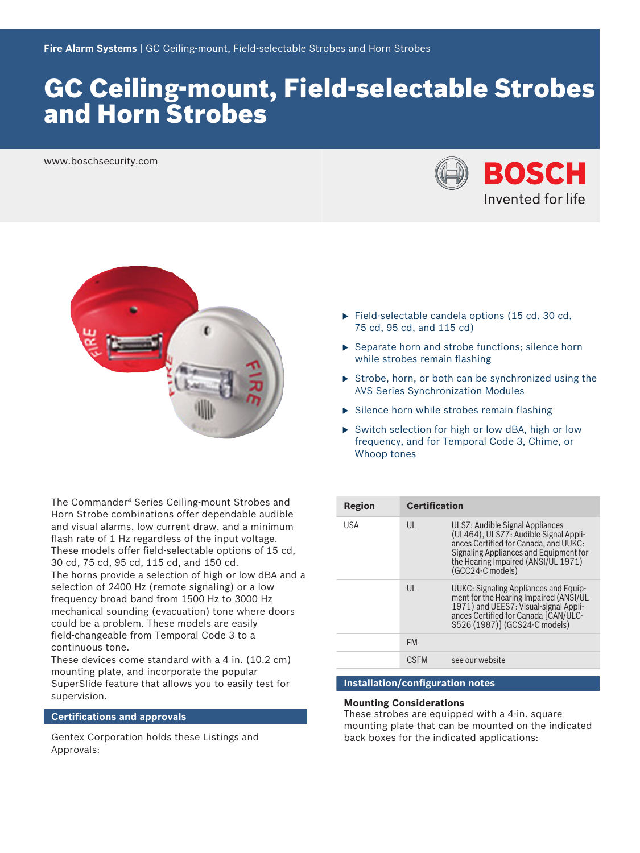# GC Ceiling‑mount, Field‑selectable Strobes and Horn Strobes

www.boschsecurity.com





The Commander<sup>4</sup> Series Ceiling‑mount Strobes and Horn Strobe combinations offer dependable audible and visual alarms, low current draw, and a minimum flash rate of 1 Hz regardless of the input voltage. These models offer field‑selectable options of 15 cd, 30 cd, 75 cd, 95 cd, 115 cd, and 150 cd.

The horns provide a selection of high or low dBA and a selection of 2400 Hz (remote signaling) or a low frequency broad band from 1500 Hz to 3000 Hz mechanical sounding (evacuation) tone where doors could be a problem. These models are easily field-changeable from Temporal Code 3 to a continuous tone.

These devices come standard with a 4 in. (10.2 cm) mounting plate, and incorporate the popular SuperSlide feature that allows you to easily test for supervision.

#### **Certifications and approvals**

Gentex Corporation holds these Listings and Approvals:

- $\blacktriangleright$  Field-selectable candela options (15 cd, 30 cd, 75 cd, 95 cd, and 115 cd)
- $\triangleright$  Separate horn and strobe functions; silence horn while strobes remain flashing
- $\triangleright$  Strobe, horn, or both can be synchronized using the AVS Series Synchronization Modules
- $\triangleright$  Silence horn while strobes remain flashing
- $\triangleright$  Switch selection for high or low dBA, high or low frequency, and for Temporal Code 3, Chime, or Whoop tones

| Region     | <b>Certification</b> |                                                                                                                                                                                                                        |
|------------|----------------------|------------------------------------------------------------------------------------------------------------------------------------------------------------------------------------------------------------------------|
| <b>USA</b> | UL                   | ULSZ: Audible Signal Appliances<br>(UL464), ULSZ7: Audible Signal Appli-<br>ances Certified for Canada, and UUKC:<br>Signaling Appliances and Equipment for<br>the Hearing Impaired (ANSI/UL 1971)<br>(GCC24-C models) |
|            | $\mathsf{U}$         | UUKC: Signaling Appliances and Equip-<br>ment for the Hearing Impaired (ANSI/UL<br>1971) and UEES7: Visual-signal Appli-<br>ances Certified for Canada [CAN/ULC-<br>S526 (1987)] (GCS24-C models)                      |
|            | <b>FM</b>            |                                                                                                                                                                                                                        |
|            | <b>CSEM</b>          | see our website                                                                                                                                                                                                        |

# **Installation/configuration notes**

#### **Mounting Considerations**

These strobes are equipped with a 4‑in. square mounting plate that can be mounted on the indicated back boxes for the indicated applications: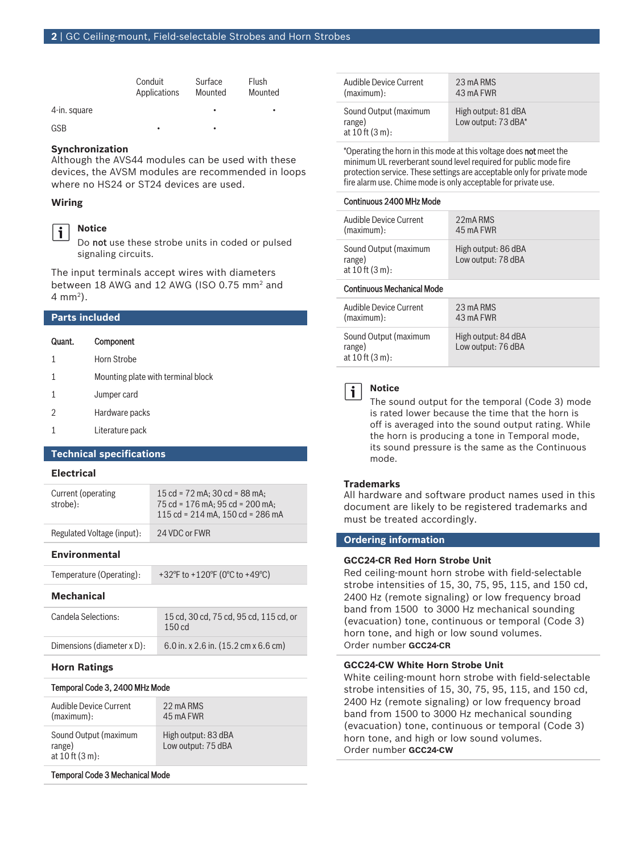|              | Conduit<br>Applications | Surface<br>Mounted | Flush<br>Mounted |
|--------------|-------------------------|--------------------|------------------|
| 4-in. square |                         | ٠                  | ٠                |
| GSB          | ٠                       | ٠                  |                  |

#### **Synchronization**

Although the AVS44 modules can be used with these devices, the AVSM modules are recommended in loops where no HS24 or ST24 devices are used.

#### **Wiring**



**Notice** Do not use these strobe units in coded or pulsed

The input terminals accept wires with diameters between 18 AWG and 12 AWG (ISO 0.75 mm<sup>2</sup> and 4 mm<sup>2</sup> ).

#### **Parts included**

| Quant. | Component                          |
|--------|------------------------------------|
| 1      | Horn Strobe                        |
| 1      | Mounting plate with terminal block |
| 1      | Jumper card                        |
| 2      | Hardware packs                     |

signaling circuits.

1 Literature pack

#### **Technical specifications**

#### **Electrical**

| Current (operating<br>strobe): | 15 cd = $72$ mA: $30$ cd = $88$ mA:<br>75 cd = 176 mA: 95 cd = 200 mA:<br>115 cd = $214$ mA, 150 cd = $286$ mA |
|--------------------------------|----------------------------------------------------------------------------------------------------------------|
| Regulated Voltage (input):     | 24 VDC or FWR                                                                                                  |

#### **Environmental**

| Temperature (Operating): | +32°F to +120°F (0°C to +49°C) |
|--------------------------|--------------------------------|
|                          |                                |

#### **Mechanical**

| Candela Selections:        | 15 cd, 30 cd, 75 cd, 95 cd, 115 cd, or<br>150 <sub>cd</sub> |
|----------------------------|-------------------------------------------------------------|
| Dimensions (diameter x D): | 6.0 in. x 2.6 in. $(15.2 \text{ cm} \times 6.6 \text{ cm})$ |

### **Horn Ratings**

#### Temporal Code 3, 2400 MHz Mode

| Audible Device Current                                | 22 mA RMS                                 |
|-------------------------------------------------------|-------------------------------------------|
| (maximum):                                            | 45 mA FWR                                 |
| Sound Output (maximum<br>range)<br>at 10 ft $(3 m)$ : | High output: 83 dBA<br>Low output: 75 dBA |

#### Temporal Code 3 Mechanical Mode

| Audible Device Current                                | 23 mA RMS                                  |
|-------------------------------------------------------|--------------------------------------------|
| (maximum):                                            | 43 mA FWR                                  |
| Sound Output (maximum<br>range)<br>at 10 ft $(3 m)$ : | High output: 81 dBA<br>Low output: 73 dBA* |

\*Operating the horn in this mode at this voltage does not meet the minimum UL reverberant sound level required for public mode fire protection service. These settings are acceptable only for private mode fire alarm use. Chime mode is only acceptable for private use.

#### Continuous 2400 MHz Mode

| Audible Device Current                                                | 22mA RMS                                  |
|-----------------------------------------------------------------------|-------------------------------------------|
| (maximum):                                                            | 45 mA FWR                                 |
| Sound Output (maximum<br>range)<br>at $10 \text{ ft} (3 \text{ m})$ : | High output: 86 dBA<br>Low output: 78 dBA |

# Continuous Mechanical Mode

| Audible Device Current                                                | 23 mA RMS                                 |
|-----------------------------------------------------------------------|-------------------------------------------|
| (maximum):                                                            | 43 mA FWR                                 |
| Sound Output (maximum<br>range)<br>at $10 \text{ ft} (3 \text{ m})$ : | High output: 84 dBA<br>Low output: 76 dBA |



#### **Notice**

The sound output for the temporal (Code 3) mode is rated lower because the time that the horn is off is averaged into the sound output rating. While the horn is producing a tone in Temporal mode, its sound pressure is the same as the Continuous mode.

### **Trademarks**

All hardware and software product names used in this document are likely to be registered trademarks and must be treated accordingly.

#### **Ordering information**

#### **GCC24‑CR Red Horn Strobe Unit**

Red ceiling-mount horn strobe with field‑selectable strobe intensities of 15, 30, 75, 95, 115, and 150 cd, 2400 Hz (remote signaling) or low frequency broad band from 1500 to 3000 Hz mechanical sounding (evacuation) tone, continuous or temporal (Code 3) horn tone, and high or low sound volumes. Order number **GCC24-CR**

#### **GCC24‑CW White Horn Strobe Unit**

White ceiling-mount horn strobe with field-selectable strobe intensities of 15, 30, 75, 95, 115, and 150 cd, 2400 Hz (remote signaling) or low frequency broad band from 1500 to 3000 Hz mechanical sounding (evacuation) tone, continuous or temporal (Code 3) horn tone, and high or low sound volumes. Order number **GCC24-CW**